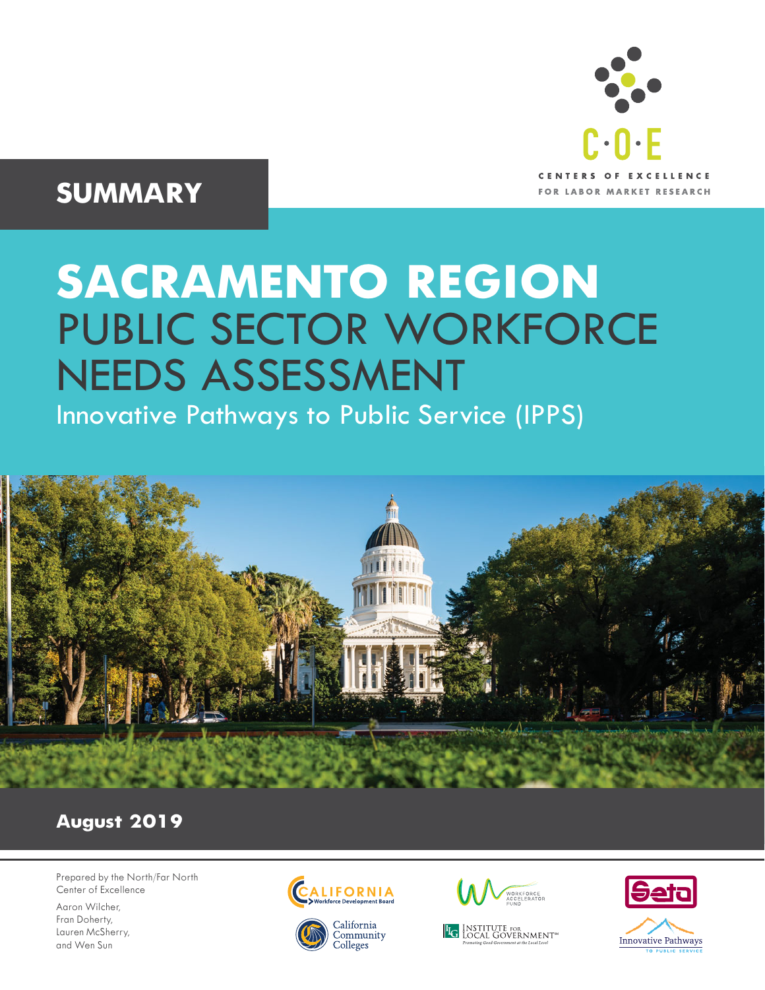

### **SUMMARY**

# **SACRAMENTO REGION** PUBLIC SECTOR WORKFORCE NEEDS ASSESSMENT

Innovative Pathways to Public Service (IPPS)



### **August 2019**

Prepared by the North/Far North Center of Excellence

Aaron Wilcher, Fran Doherty, Lauren McSherry, and Wen Sun









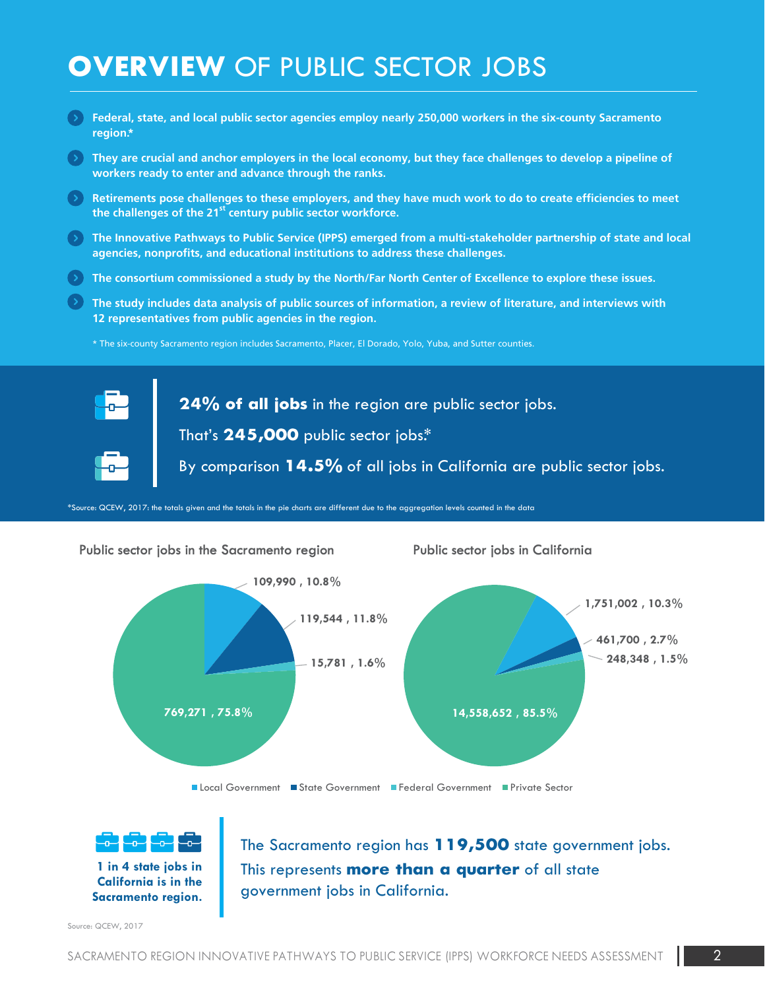### **OVERVIEW** OF PUBLIC SECTOR JOBS

- **Federal, state, and local public sector agencies employ nearly 250,000 workers in the six-county Sacramento region.\***
- **They are crucial and anchor employers in the local economy, but they face challenges to develop a pipeline of workers ready to enter and advance through the ranks.**
- **Retirements pose challenges to these employers, and they have much work to do to create efficiencies to meet the challenges of the 21st century public sector workforce.**
- **The Innovative Pathways to Public Service (IPPS) emerged from a multi-stakeholder partnership of state and local agencies, nonprofits, and educational institutions to address these challenges.**
- **The consortium commissioned a study by the North/Far North Center of Excellence to explore these issues.**
- **The study includes data analysis of public sources of information, a review of literature, and interviews with 12 representatives from public agencies in the region.**
	- \* The six-county Sacramento region includes Sacramento, Placer, El Dorado, Yolo, Yuba, and Sutter counties.



That's **245,000** public sector jobs.\*

By comparison **14.5%** of all jobs in California are public sector jobs.

**24% of all jobs** in the region are public sector jobs.

\*Source: QCEW, 2017: the totals given and the totals in the pie charts are different due to the aggregation levels counted in the data



The Sacramento region has **119,500** state government jobs. This represents **more than a quarter** of all state government jobs in California.

Source: QCEW, 2017

**1 in 4 state jobs in California is in the Sacramento region.**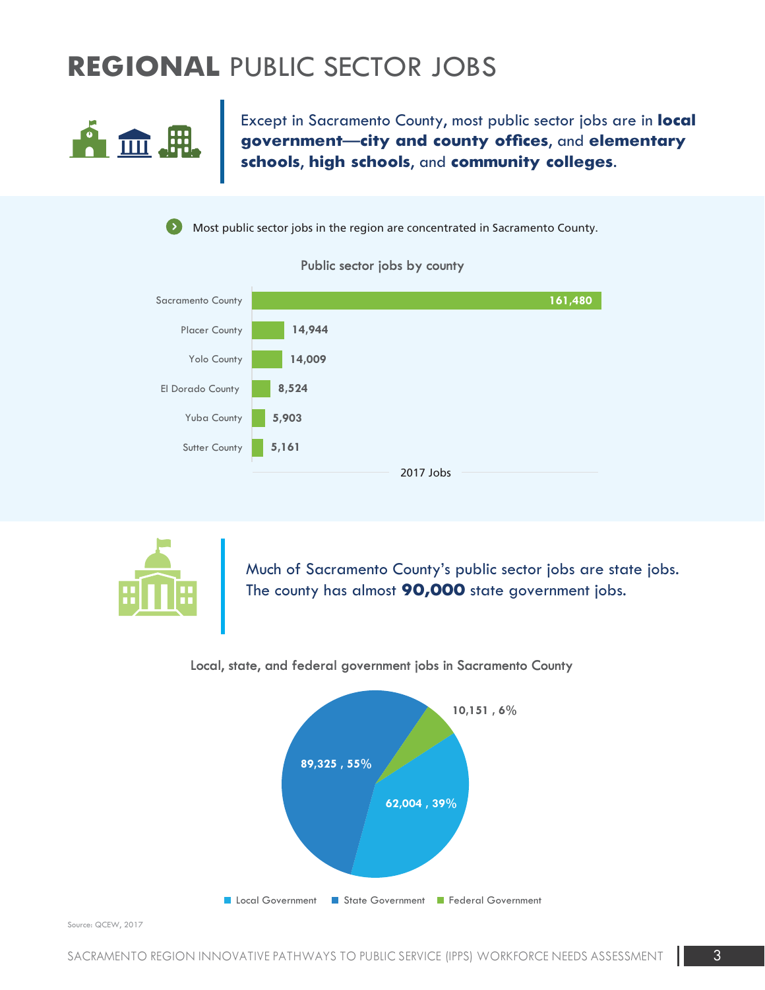## **REGIONAL** PUBLIC SECTOR JOBS



Except in Sacramento County, most public sector jobs are in **local government**—**city and county offices**, and **elementary schools**, **high schools**, and **community colleges**.

Most public sector jobs in the region are concentrated in Sacramento County.  $\mathbf{S}$ 



**Public sector jobs by county**



Much of Sacramento County's public sector jobs are state jobs. The county has almost **90,000** state government jobs.

#### **Local, state, and federal government jobs in Sacramento County**



Source: QCEW, 2017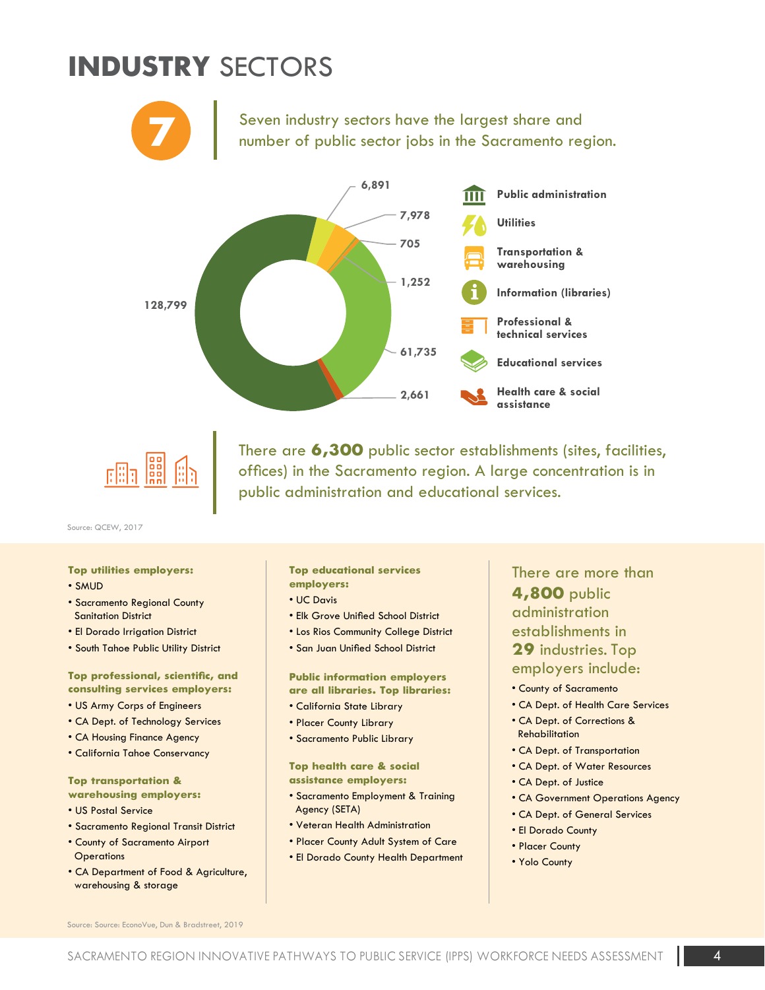### **INDUSTRY** SECTORS

Seven industry sectors have the largest share and number of public sector jobs in the Sacramento region.





There are **6,300** public sector establishments (sites, facilities, offices) in the Sacramento region. A large concentration is in public administration and educational services.

Source: QCEW, 2017

#### **Top utilities employers:**

- SMUD
- Sacramento Regional County **Sanitation District**
- El Dorado Irrigation District
- South Tahoe Public Utility District

#### **Top professional, scientific, and consulting services employers:**

- US Army Corps of Engineers
- CA Dept. of Technology Services
- CA Housing Finance Agency
- California Tahoe Conservancy

#### **Top transportation & warehousing employers:**

- US Postal Service
- Sacramento Regional Transit District
- County of Sacramento Airport **Operations**
- CA Department of Food & Agriculture, warehousing & storage

**Top educational services employers:** 

- UC Davis
- Elk Grove Unified School District
- Los Rios Community College District
- San Juan Unified School District

#### **Public information employers are all libraries. Top libraries:**

- California State Library
- Placer County Library
- Sacramento Public Library

#### **Top health care & social assistance employers:**

- Sacramento Employment & Training Agency (SETA)
- Veteran Health Administration
- Placer County Adult System of Care
- El Dorado County Health Department

### There are more than **4,800** public administration establishments in **29** industries. Top employers include:

- County of Sacramento
- CA Dept. of Health Care Services
- CA Dept. of Corrections & Rehabilitation
- CA Dept. of Transportation
- CA Dept. of Water Resources
- CA Dept. of Justice
- CA Government Operations Agency
- CA Dept. of General Services
- El Dorado County
- Placer County
- Yolo County

Source: Source: EconoVue, Dun & Bradstreet, 2019

#### SACRAMENTO REGION INNOVATIVE PATHWAYS TO PUBLIC SERVICE (IPPS) WORKFORCE NEEDS ASSESSMENT  $\vert$  4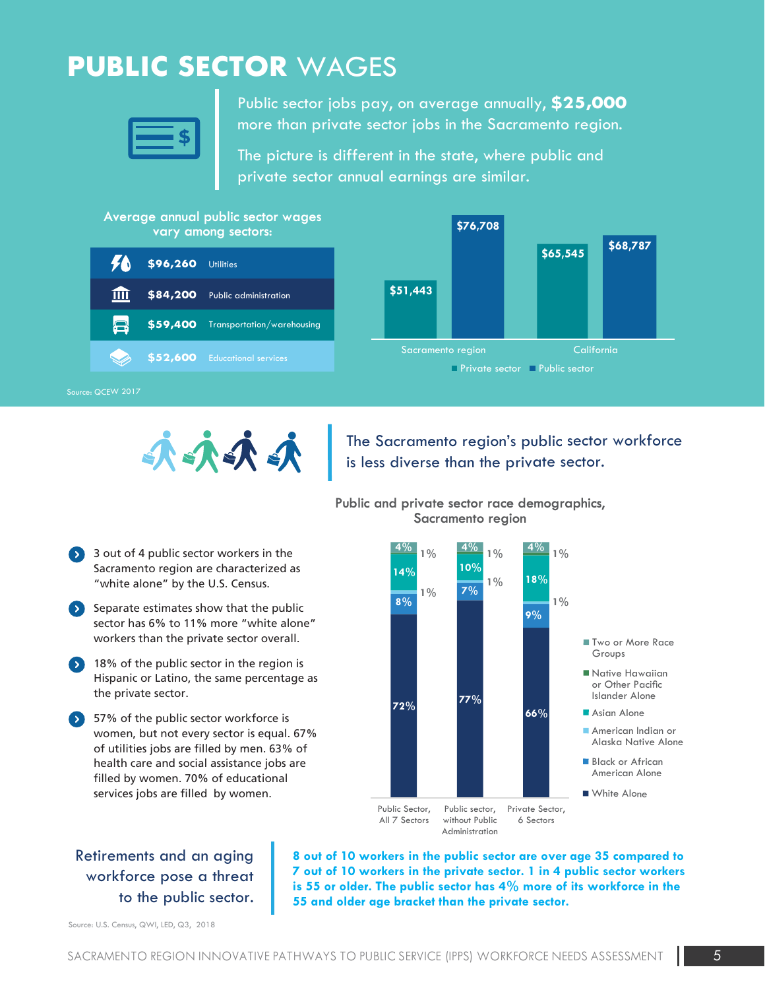### **PUBLIC SECTOR** WAGES

Public sector jobs pay, on average annually, **\$25,000** more than private sector jobs in the Sacramento region.

The picture is different in the state, where public and private sector annual earnings are similar.





The Sacramento region's public sector workforce is less diverse than the private sector.



- 3 out of 4 public sector workers in the Sacramento region are characterized as "white alone" by the U.S. Census.
- $\bullet$  Separate estimates show that the public sector has 6% to 11% more "white alone" workers than the private sector overall.
- 18% of the public sector in the region is Hispanic or Latino, the same percentage as the private sector.
- 57% of the public sector workforce is women, but not every sector is equal. 67% of utilities jobs are filled by men. 63% of health care and social assistance jobs are filled by women. 70% of educational services jobs are filled by women.



Retirements and an aging workforce pose a threat to the public sector. **8 out of 10 workers in the public sector are over age 35 compared to 7 out of 10 workers in the private sector. 1 in 4 public sector workers is 55 or older. The public sector has 4% more of its workforce in the 55 and older age bracket than the private sector.**

Source: U.S. Census, QWI, LED, Q3, 2018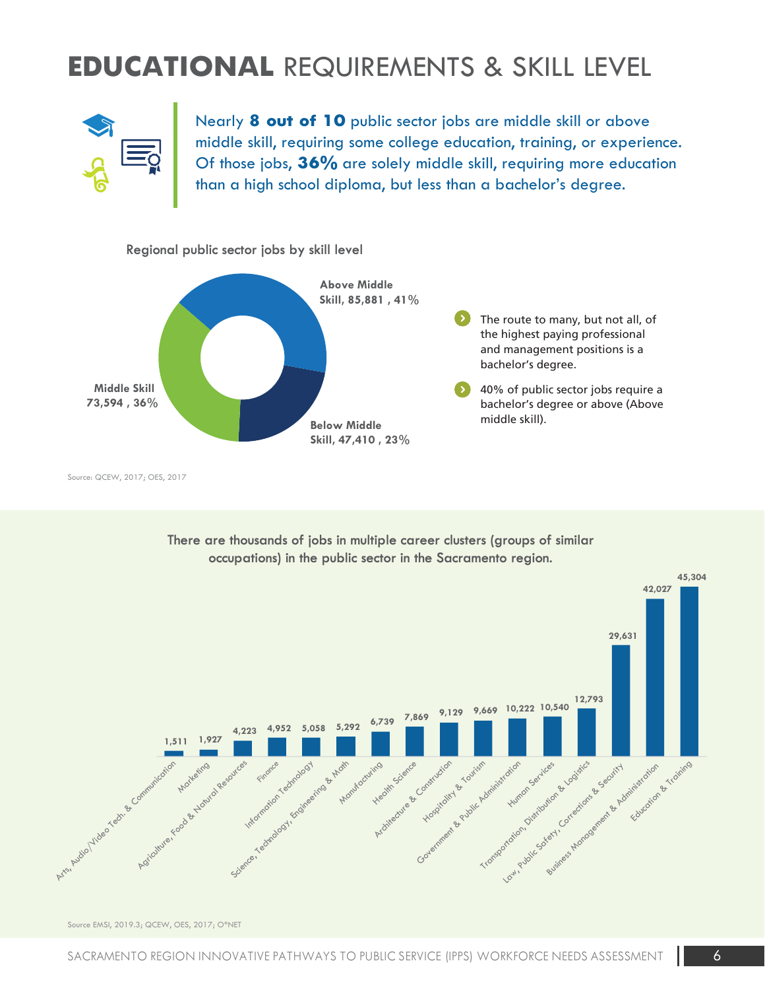### **EDUCATIONAL** REQUIREMENTS & SKILL LEVEL



Nearly **8 out of 10** public sector jobs are middle skill or above middle skill, requiring some college education, training, or experience. Of those jobs, **36%** are solely middle skill, requiring more education than a high school diploma, but less than a bachelor's degree.



Source: QCEW, 2017; OES, 2017



**There are thousands of jobs in multiple career clusters (groups of similar occupations) in the public sector in the Sacramento region.** 

Source EMSI, 2019.3; QCEW, OES, 2017; O\*NET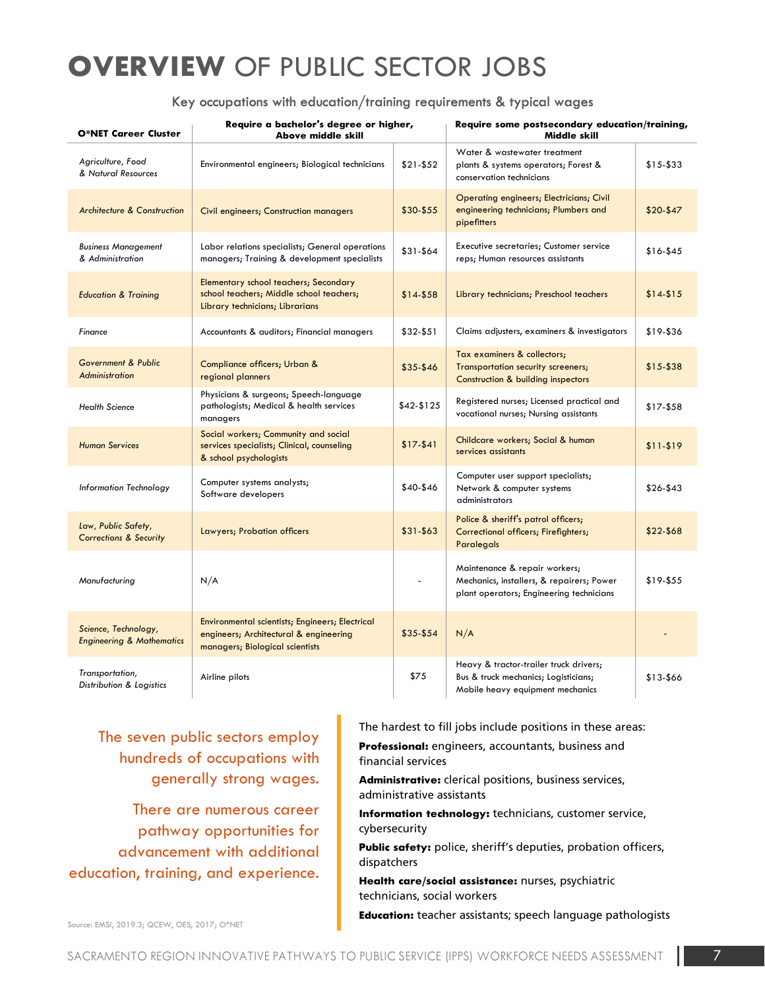### **OVERVIEW** OF PUBLIC SECTOR JOBS

**Key occupations with education/training requirements & typical wages** 

| Require a bachelor's degree or higher,<br><b>O*NET Career Cluster</b><br>Above middle skill |                                                                                                                              | Require some postsecondary education/training,<br>Middle skill |                                                                                                                        |             |
|---------------------------------------------------------------------------------------------|------------------------------------------------------------------------------------------------------------------------------|----------------------------------------------------------------|------------------------------------------------------------------------------------------------------------------------|-------------|
| Agriculture, Food<br>& Natural Resources                                                    | Environmental engineers; Biological technicians                                                                              | $$21-$52$                                                      | Water & wastewater treatment<br>plants & systems operators; Forest &<br>conservation technicians                       | $$15 - $33$ |
| <b>Architecture &amp; Construction</b>                                                      | <b>Civil engineers; Construction managers</b>                                                                                | \$30-\$55                                                      | <b>Operating engineers; Electricians; Civil</b><br>engineering technicians; Plumbers and<br>pipefitters                | $$20-$47$   |
| <b>Business Management</b><br>& Administration                                              | Labor relations specialists; General operations<br>managers; Training & development specialists                              | \$31-\$64                                                      | Executive secretaries; Customer service<br>reps; Human resources assistants                                            | $$16 - $45$ |
| <b>Education &amp; Training</b>                                                             | Elementary school teachers; Secondary<br>school teachers; Middle school teachers;<br>Library technicians; Librarians         | $$14 - $58$                                                    | Library technicians; Preschool teachers                                                                                | $$14-$15$   |
| Finance                                                                                     | Accountants & auditors; Financial managers                                                                                   | \$32-\$51                                                      | Claims adjusters, examiners & investigators                                                                            | \$19-\$36   |
| <b>Government &amp; Public</b><br><b>Administration</b>                                     | Compliance officers; Urban &<br>regional planners                                                                            | $$35-$46$                                                      | Tax examiners & collectors;<br>Transportation security screeners;<br>Construction & building inspectors                | $$15 - $38$ |
| <b>Health Science</b>                                                                       | Physicians & surgeons; Speech-language<br>pathologists; Medical & health services<br>managers                                | $$42-$125$                                                     | Registered nurses; Licensed practical and<br>vocational nurses; Nursing assistants                                     | $$17 - $58$ |
| <b>Human Services</b>                                                                       | Social workers; Community and social<br>services specialists; Clinical, counseling<br>& school psychologists                 | $$17-$41$                                                      | Childcare workers; Social & human<br>services assistants                                                               | $$11-$19$   |
| <b>Information Technology</b>                                                               | Computer systems analysts;<br>Software developers                                                                            | \$40-\$46                                                      | Computer user support specialists;<br>Network & computer systems<br>administrators                                     | $$26-$43$   |
| Law, Public Safety,<br><b>Corrections &amp; Security</b>                                    | Lawyers; Probation officers                                                                                                  | $$31 - $63$                                                    | Police & sheriff's patrol officers;<br><b>Correctional officers; Firefighters;</b><br>Paralegals                       | $$22-$68$   |
| Manufacturing                                                                               | N/A                                                                                                                          |                                                                | Maintenance & repair workers;<br>Mechanics, installers, & repairers; Power<br>plant operators; Engineering technicians | \$19-\$55   |
| Science, Technology,<br><b>Engineering &amp; Mathematics</b>                                | Environmental scientists; Engineers; Electrical<br>engineers; Architectural & engineering<br>managers; Biological scientists | $$35-$54$                                                      | N/A                                                                                                                    |             |
| Transportation,<br>Distribution & Logistics                                                 | Airline pilots                                                                                                               | \$75                                                           | Heavy & tractor-trailer truck drivers;<br>Bus & truck mechanics; Logisticians;<br>Mobile heavy equipment mechanics     | \$13-\$66   |

The seven public sectors employ hundreds of occupations with generally strong wages.

There are numerous career pathway opportunities for advancement with additional education, training, and experience.

The hardest to fill jobs include positions in these areas:

**Professional:** engineers, accountants, business and financial services

**Administrative:** clerical positions, business services, administrative assistants

**Information technology:** technicians, customer service, cybersecurity

**Public safety:** police, sheriff's deputies, probation officers, dispatchers

**Health care/social assistance:** nurses, psychiatric technicians, social workers

**Education:** teacher assistants; speech language pathologists

Source: EMSI, 2019.3; QCEW, OES, 2017; O\*NET